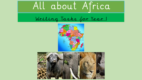

Writing Tasks for Year 1



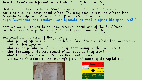### Task 1 – Create an Information Text about an African country

First, click on the link below. Start the quiz and then watch the video and participate in the lesson about Africa. You may need to use the African Map template to help you. Either print it off or sketch it on paper. <https://www.thenational.academy/year-1/foundation/what-is-africa-like-year-1-wk2-4>

Now, we would like you to do some research about one of the 54 African countries. Create a poster or leaflet about your chosen country.

You could include some of the following:

- What part of Africa is it in the North, East, South or West? The Northern or Southern hemisphere?
- What is the population of the country? (How many people live there?)
- What language(s) do they speak? What foods do they grow?
- What kind of weather/climate does the country have?
- A drawing or picture of the country's flag. The name of its capital city.



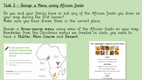### Task 2 – Design a Menu using African foods

Do you and your family have or eat any of the African foods you drew on your map during the first lesson? Make sure you have drawn them in the correct place.

Design a three-course menu using some of the African foods on your map. Remember from the Christmas menus we created in class, you need to have a Starter, Main Course and Dessert.



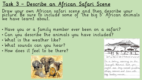# Task 3 – Describe an African Safari Scene

Draw your own African safari scene and then describe your picture. Be sure to include some of 'the big 5' African animals we have learnt about.

- Have you or a family member ever been on a safari?
- Can you describe the animals you have included?
- What is the weather like?
- What sounds can you hear?
- How does it feel to be there?



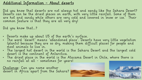## Additional Information – About deserts

Did you know that deserts are not always hot and sandy like the Sahara Desert? Deserts can be the driest places on earth, with very little rainfall. Some of them are hot and sandy while others are very cold and covered in snow or ice. Their common feature is that they are all very dry!

Did you know that…?

- Deserts make up about 1/5 of the earth's surface.
- The word 'desert' means 'abandoned place'. Deserts have very little vegetation (plants) because they are so dry, making them difficult places for people and most animals to live in.
- The largest hot desert in the world is the Sahara Desert and the largest cold desert is the continent of Antarctica.
- The driest place in the world is the Atacama Desert in Chile, where there is no rainfall at all - sometimes for years!

<u>Challenge</u>: Can you name another desert in Africa apart from the Sahara?